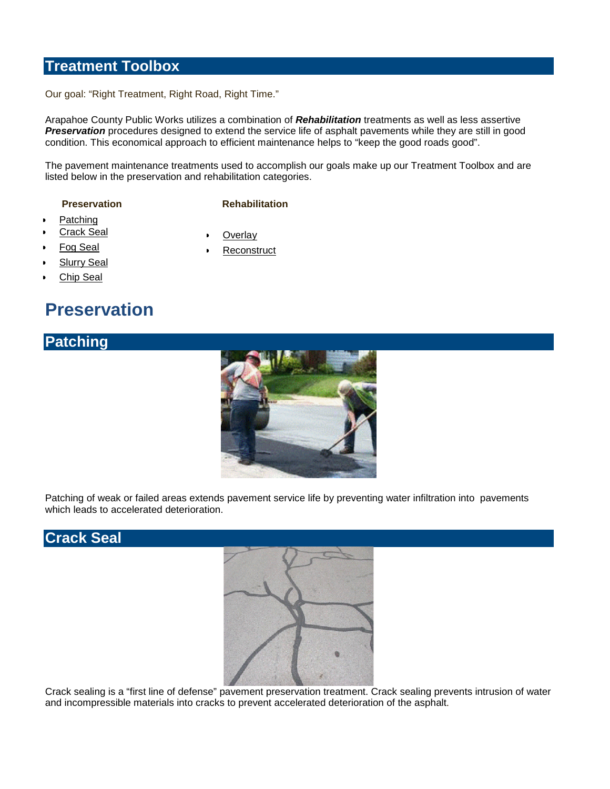#### **Treatment Toolbox**

Our goal: "Right Treatment, Right Road, Right Time."

Arapahoe County Public Works utilizes a combination of *Rehabilitation* treatments as well as less assertive *Preservation* procedures designed to extend the service life of asphalt pavements while they are still in good condition. This economical approach to efficient maintenance helps to "keep the good roads good".

The pavement maintenance treatments used to accomplish our goals make up our Treatment Toolbox and are listed below in the preservation and rehabilitation categories.

#### **Preservation** Rehabilitation

**Overlay Reconstruct** 

- Patching
- **Crack Seal**
- Fog Seal
- **Slurry Seal**
- Chip Seal

## **Preservation**



Patching of weak or failed areas extends pavement service life by preventing water infiltration into pavements which leads to accelerated deterioration.

#### **Crack Seal**



Crack sealing is a "first line of defense" pavement preservation treatment. Crack sealing prevents intrusion of water and incompressible materials into cracks to prevent accelerated deterioration of the asphalt.

### **Patching**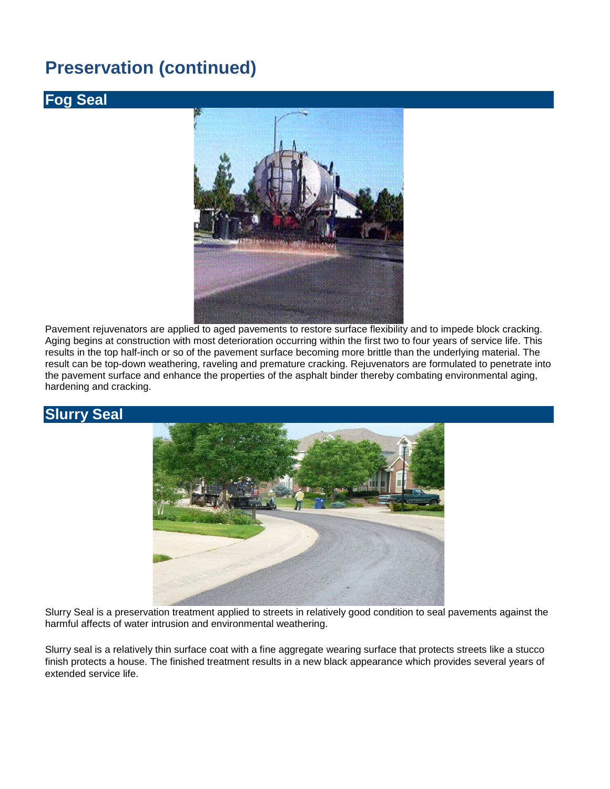## **Preservation (continued)**

#### **Fog Seal**



Pavement rejuvenators are applied to aged pavements to restore surface flexibility and to impede block cracking. Aging begins at construction with most deterioration occurring within the first two to four years of service life. This results in the top half-inch or so of the pavement surface becoming more brittle than the underlying material. The result can be top-down weathering, raveling and premature cracking. Rejuvenators are formulated to penetrate into the pavement surface and enhance the properties of the asphalt binder thereby combating environmental aging, hardening and cracking.

#### **Slurry Seal**



Slurry Seal is a preservation treatment applied to streets in relatively good condition to seal pavements against the harmful affects of water intrusion and environmental weathering.

Slurry seal is a relatively thin surface coat with a fine aggregate wearing surface that protects streets like a stucco finish protects a house. The finished treatment results in a new black appearance which provides several years of extended service life.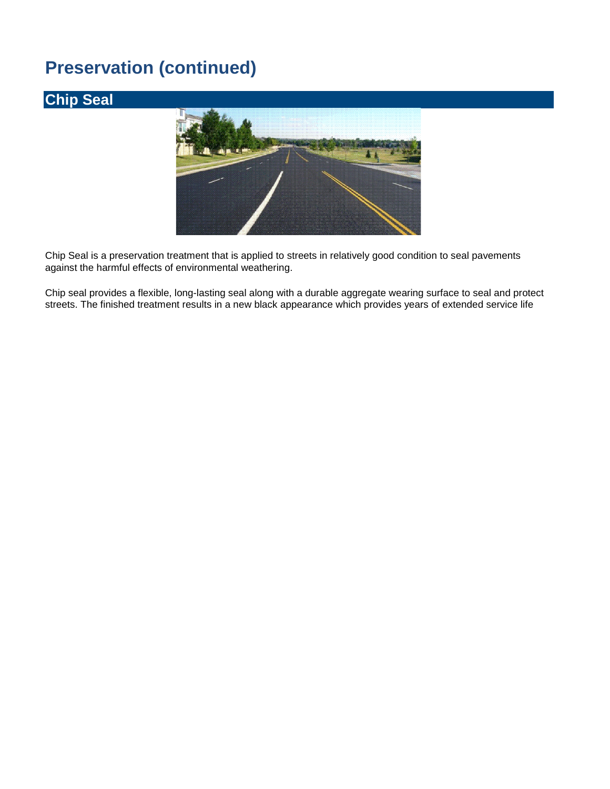# **Preservation (continued)**

## **Chip Seal**



Chip Seal is a preservation treatment that is applied to streets in relatively good condition to seal pavements against the harmful effects of environmental weathering.

Chip seal provides a flexible, long-lasting seal along with a durable aggregate wearing surface to seal and protect streets. The finished treatment results in a new black appearance which provides years of extended service life